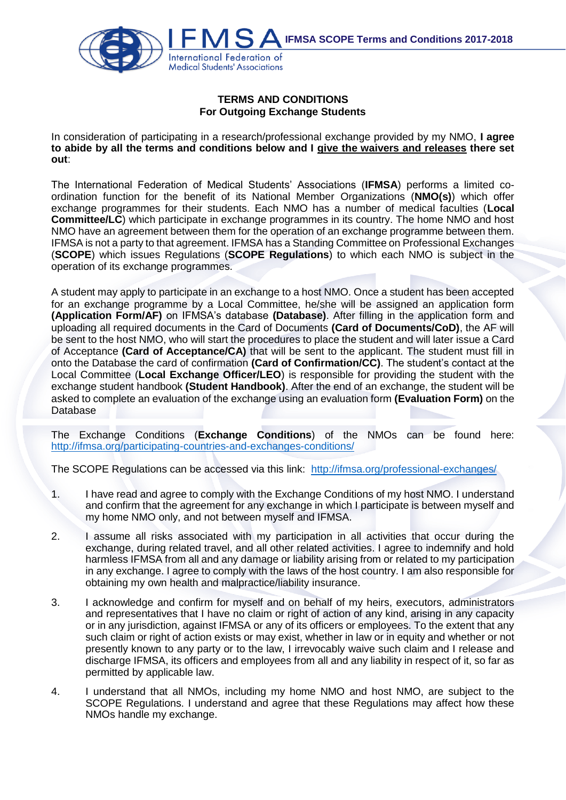

## **TERMS AND CONDITIONS For Outgoing Exchange Students**

In consideration of participating in a research/professional exchange provided by my NMO, **I agree to abide by all the terms and conditions below and I give the waivers and releases there set out**:

The International Federation of Medical Students' Associations (**IFMSA**) performs a limited coordination function for the benefit of its National Member Organizations (**NMO(s)**) which offer exchange programmes for their students. Each NMO has a number of medical faculties (**Local Committee/LC**) which participate in exchange programmes in its country. The home NMO and host NMO have an agreement between them for the operation of an exchange programme between them. IFMSA is not a party to that agreement. IFMSA has a Standing Committee on Professional Exchanges (**SCOPE**) which issues Regulations (**SCOPE Regulations**) to which each NMO is subject in the operation of its exchange programmes.

A student may apply to participate in an exchange to a host NMO. Once a student has been accepted for an exchange programme by a Local Committee, he/she will be assigned an application form **(Application Form/AF)** on IFMSA's database **(Database)**. After filling in the application form and uploading all required documents in the Card of Documents **(Card of Documents/CoD)**, the AF will be sent to the host NMO, who will start the procedures to place the student and will later issue a Card of Acceptance **(Card of Acceptance/CA)** that will be sent to the applicant. The student must fill in onto the Database the card of confirmation **(Card of Confirmation/CC)**. The student's contact at the Local Committee (**Local Exchange Officer/LEO**) is responsible for providing the student with the exchange student handbook **(Student Handbook)**. After the end of an exchange, the student will be asked to complete an evaluation of the exchange using an evaluation form **(Evaluation Form)** on the Database

The Exchange Conditions (**Exchange Conditions**) of the NMOs can be found here: <http://ifmsa.org/participating-countries-and-exchanges-conditions/>

The SCOPE Regulations can be accessed via this link:<http://ifmsa.org/professional-exchanges/>

- 1. I have read and agree to comply with the Exchange Conditions of my host NMO. I understand and confirm that the agreement for any exchange in which I participate is between myself and my home NMO only, and not between myself and IFMSA.
- 2. I assume all risks associated with my participation in all activities that occur during the exchange, during related travel, and all other related activities. I agree to indemnify and hold harmless IFMSA from all and any damage or liability arising from or related to my participation in any exchange. I agree to comply with the laws of the host country. I am also responsible for obtaining my own health and malpractice/liability insurance.
- 3. I acknowledge and confirm for myself and on behalf of my heirs, executors, administrators and representatives that I have no claim or right of action of any kind, arising in any capacity or in any jurisdiction, against IFMSA or any of its officers or employees. To the extent that any such claim or right of action exists or may exist, whether in law or in equity and whether or not presently known to any party or to the law, I irrevocably waive such claim and I release and discharge IFMSA, its officers and employees from all and any liability in respect of it, so far as permitted by applicable law.
- 4. I understand that all NMOs, including my home NMO and host NMO, are subject to the SCOPE Regulations. I understand and agree that these Regulations may affect how these NMOs handle my exchange.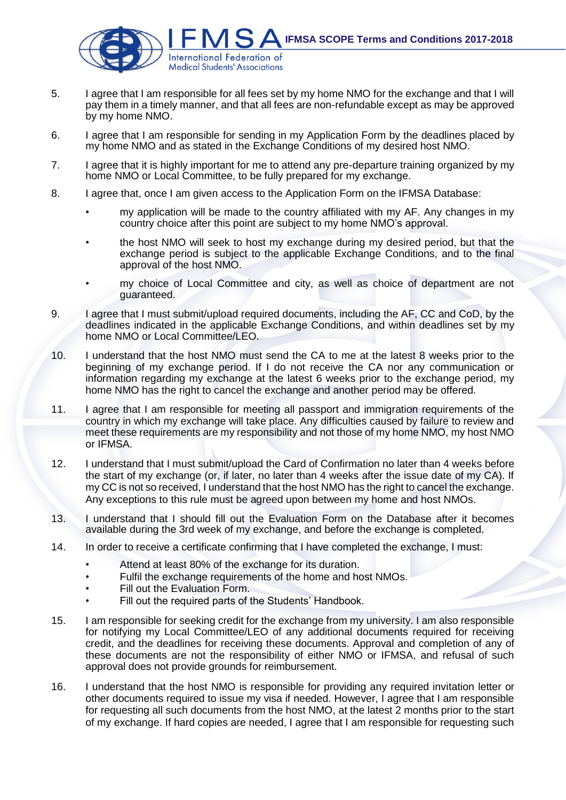

- 5. I agree that I am responsible for all fees set by my home NMO for the exchange and that I will pay them in a timely manner, and that all fees are non-refundable except as may be approved by my home NMO.
- 6. I agree that I am responsible for sending in my Application Form by the deadlines placed by my home NMO and as stated in the Exchange Conditions of my desired host NMO.
- 7. I agree that it is highly important for me to attend any pre-departure training organized by my home NMO or Local Committee, to be fully prepared for my exchange.
- 8. I agree that, once I am given access to the Application Form on the IFMSA Database:
	- my application will be made to the country affiliated with my AF. Any changes in my country choice after this point are subject to my home NMO's approval.
	- the host NMO will seek to host my exchange during my desired period, but that the exchange period is subject to the applicable Exchange Conditions, and to the final approval of the host NMO.
	- my choice of Local Committee and city, as well as choice of department are not guaranteed.
- 9. I agree that I must submit/upload required documents, including the AF, CC and CoD, by the deadlines indicated in the applicable Exchange Conditions, and within deadlines set by my home NMO or Local Committee/LEO.
- 10. I understand that the host NMO must send the CA to me at the latest 8 weeks prior to the beginning of my exchange period. If I do not receive the CA nor any communication or information regarding my exchange at the latest 6 weeks prior to the exchange period, my home NMO has the right to cancel the exchange and another period may be offered.
- 11. I agree that I am responsible for meeting all passport and immigration requirements of the country in which my exchange will take place. Any difficulties caused by failure to review and meet these requirements are my responsibility and not those of my home NMO, my host NMO or IFMSA.
- 12. I understand that I must submit/upload the Card of Confirmation no later than 4 weeks before the start of my exchange (or, if later, no later than 4 weeks after the issue date of my CA). If my CC is not so received, I understand that the host NMO has the right to cancel the exchange. Any exceptions to this rule must be agreed upon between my home and host NMOs.
- 13. I understand that I should fill out the Evaluation Form on the Database after it becomes available during the 3rd week of my exchange, and before the exchange is completed.
- 14. In order to receive a certificate confirming that I have completed the exchange, I must:
	- Attend at least 80% of the exchange for its duration.
	- Fulfil the exchange requirements of the home and host NMOs.
	- Fill out the Evaluation Form.
	- Fill out the required parts of the Students' Handbook.
- 15. I am responsible for seeking credit for the exchange from my university. I am also responsible for notifying my Local Committee/LEO of any additional documents required for receiving credit, and the deadlines for receiving these documents. Approval and completion of any of these documents are not the responsibility of either NMO or IFMSA, and refusal of such approval does not provide grounds for reimbursement.
- 16. I understand that the host NMO is responsible for providing any required invitation letter or other documents required to issue my visa if needed. However, I agree that I am responsible for requesting all such documents from the host NMO, at the latest 2 months prior to the start of my exchange. If hard copies are needed, I agree that I am responsible for requesting such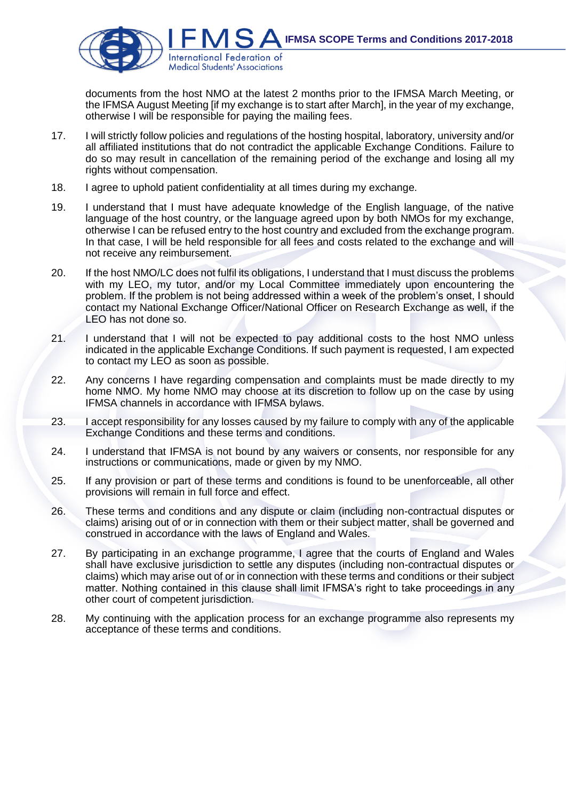

documents from the host NMO at the latest 2 months prior to the IFMSA March Meeting, or the IFMSA August Meeting [if my exchange is to start after March], in the year of my exchange, otherwise I will be responsible for paying the mailing fees.

- 17. I will strictly follow policies and regulations of the hosting hospital, laboratory, university and/or all affiliated institutions that do not contradict the applicable Exchange Conditions. Failure to do so may result in cancellation of the remaining period of the exchange and losing all my rights without compensation.
- 18. I agree to uphold patient confidentiality at all times during my exchange.
- 19. I understand that I must have adequate knowledge of the English language, of the native language of the host country, or the language agreed upon by both NMOs for my exchange, otherwise I can be refused entry to the host country and excluded from the exchange program. In that case, I will be held responsible for all fees and costs related to the exchange and will not receive any reimbursement.
- 20. If the host NMO/LC does not fulfil its obligations, I understand that I must discuss the problems with my LEO, my tutor, and/or my Local Committee immediately upon encountering the problem. If the problem is not being addressed within a week of the problem's onset, I should contact my National Exchange Officer/National Officer on Research Exchange as well, if the LEO has not done so.
- 21. I understand that I will not be expected to pay additional costs to the host NMO unless indicated in the applicable Exchange Conditions. If such payment is requested, I am expected to contact my LEO as soon as possible.
- 22. Any concerns I have regarding compensation and complaints must be made directly to my home NMO. My home NMO may choose at its discretion to follow up on the case by using IFMSA channels in accordance with IFMSA bylaws.
- 23. I accept responsibility for any losses caused by my failure to comply with any of the applicable Exchange Conditions and these terms and conditions.
- 24. I understand that IFMSA is not bound by any waivers or consents, nor responsible for any instructions or communications, made or given by my NMO.
- 25. If any provision or part of these terms and conditions is found to be unenforceable, all other provisions will remain in full force and effect.
- 26. These terms and conditions and any dispute or claim (including non-contractual disputes or claims) arising out of or in connection with them or their subject matter, shall be governed and construed in accordance with the laws of England and Wales.
- 27. By participating in an exchange programme, I agree that the courts of England and Wales shall have exclusive jurisdiction to settle any disputes (including non-contractual disputes or claims) which may arise out of or in connection with these terms and conditions or their subject matter. Nothing contained in this clause shall limit IFMSA's right to take proceedings in any other court of competent jurisdiction.
- 28. My continuing with the application process for an exchange programme also represents my acceptance of these terms and conditions.